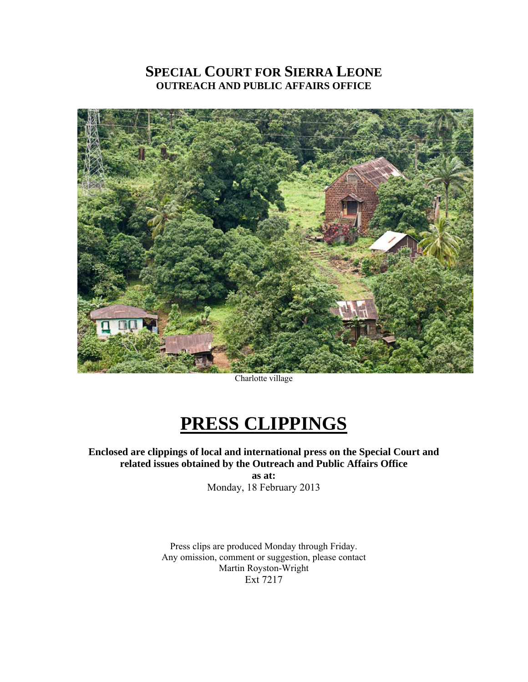# **SPECIAL COURT FOR SIERRA LEONE OUTREACH AND PUBLIC AFFAIRS OFFICE**



Charlotte village

# **PRESS CLIPPINGS**

**Enclosed are clippings of local and international press on the Special Court and related issues obtained by the Outreach and Public Affairs Office** 

**as at:**  Monday, 18 February 2013

Press clips are produced Monday through Friday. Any omission, comment or suggestion, please contact Martin Royston-Wright Ext 7217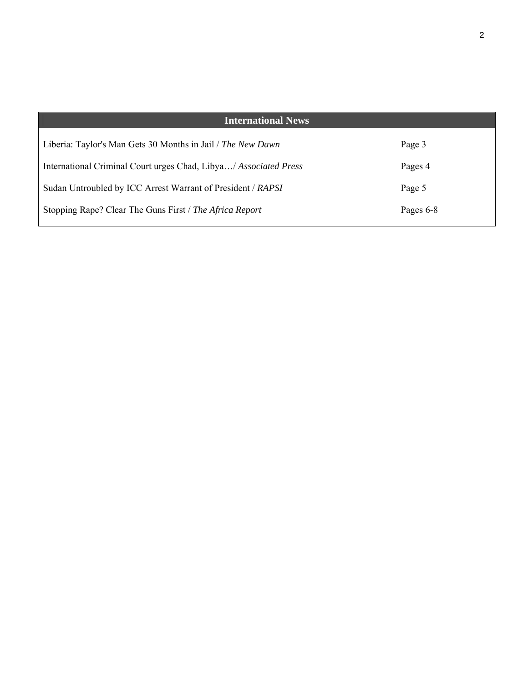| <b>International News</b>                                        |           |
|------------------------------------------------------------------|-----------|
| Liberia: Taylor's Man Gets 30 Months in Jail / The New Dawn      | Page 3    |
| International Criminal Court urges Chad, Libya/ Associated Press | Pages 4   |
| Sudan Untroubled by ICC Arrest Warrant of President / RAPSI      | Page 5    |
| Stopping Rape? Clear The Guns First / The Africa Report          | Pages 6-8 |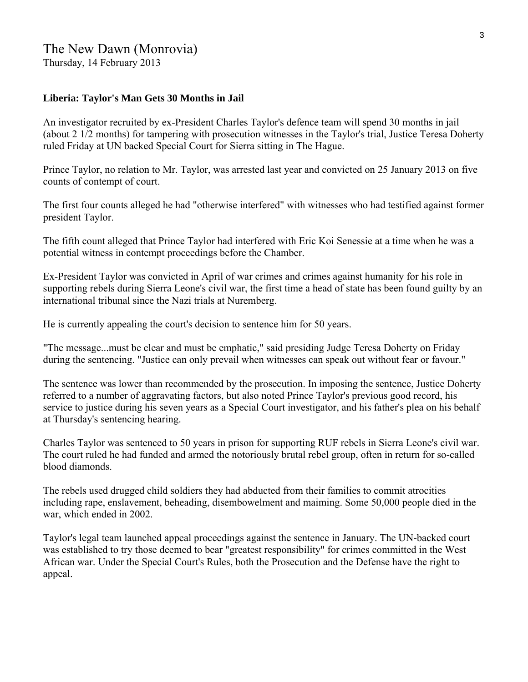# The New Dawn (Monrovia)

Thursday, 14 February 2013

# **Liberia: Taylor's Man Gets 30 Months in Jail**

An investigator recruited by ex-President Charles Taylor's defence team will spend 30 months in jail (about 2 1/2 months) for tampering with prosecution witnesses in the Taylor's trial, Justice Teresa Doherty ruled Friday at UN backed Special Court for Sierra sitting in The Hague.

Prince Taylor, no relation to Mr. Taylor, was arrested last year and convicted on 25 January 2013 on five counts of contempt of court.

The first four counts alleged he had "otherwise interfered" with witnesses who had testified against former president Taylor.

The fifth count alleged that Prince Taylor had interfered with Eric Koi Senessie at a time when he was a potential witness in contempt proceedings before the Chamber.

Ex-President Taylor was convicted in April of war crimes and crimes against humanity for his role in supporting rebels during Sierra Leone's civil war, the first time a head of state has been found guilty by an international tribunal since the Nazi trials at Nuremberg.

He is currently appealing the court's decision to sentence him for 50 years.

"The message...must be clear and must be emphatic," said presiding Judge Teresa Doherty on Friday during the sentencing. "Justice can only prevail when witnesses can speak out without fear or favour."

The sentence was lower than recommended by the prosecution. In imposing the sentence, Justice Doherty referred to a number of aggravating factors, but also noted Prince Taylor's previous good record, his service to justice during his seven years as a Special Court investigator, and his father's plea on his behalf at Thursday's sentencing hearing.

Charles Taylor was sentenced to 50 years in prison for supporting RUF rebels in Sierra Leone's civil war. The court ruled he had funded and armed the notoriously brutal rebel group, often in return for so-called blood diamonds.

The rebels used drugged child soldiers they had abducted from their families to commit atrocities including rape, enslavement, beheading, disembowelment and maiming. Some 50,000 people died in the war, which ended in 2002.

Taylor's legal team launched appeal proceedings against the sentence in January. The UN-backed court was established to try those deemed to bear "greatest responsibility" for crimes committed in the West African war. Under the Special Court's Rules, both the Prosecution and the Defense have the right to appeal.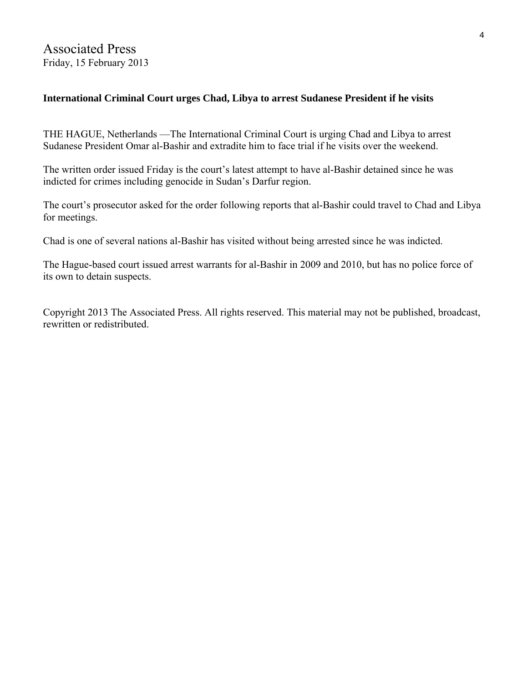# **International Criminal Court urges Chad, Libya to arrest Sudanese President if he visits**

THE HAGUE, Netherlands —The International Criminal Court is urging Chad and Libya to arrest Sudanese President Omar al-Bashir and extradite him to face trial if he visits over the weekend.

The written order issued Friday is the court's latest attempt to have al-Bashir detained since he was indicted for crimes including genocide in Sudan's Darfur region.

The court's prosecutor asked for the order following reports that al-Bashir could travel to Chad and Libya for meetings.

Chad is one of several nations al-Bashir has visited without being arrested since he was indicted.

The Hague-based court issued arrest warrants for al-Bashir in 2009 and 2010, but has no police force of its own to detain suspects.

Copyright 2013 The Associated Press. All rights reserved. This material may not be published, broadcast, rewritten or redistributed.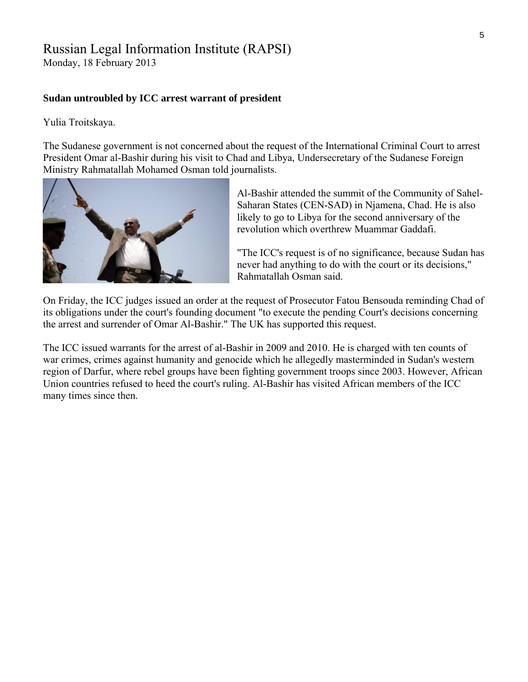# Russian Legal Information Institute (RAPSI)

Monday, 18 February 2013

#### **Sudan untroubled by ICC arrest warrant of president**

Yulia Troitskaya.

The Sudanese government is not concerned about the request of the International Criminal Court to arrest President Omar al-Bashir during his visit to Chad and Libya, Undersecretary of the Sudanese Foreign Ministry Rahmatallah Mohamed Osman told journalists.



Al-Bashir attended the summit of the Community of Sahel-Saharan States (CEN-SAD) in Njamena, Chad. He is also likely to go to Libya for the second anniversary of the revolution which overthrew Muammar Gaddafi.

"The ICC's request is of no significance, because Sudan h as never had anything to do with the court or its decis ions," Rahmatallah Osman said.

On Friday, the ICC judges issued an order at the request of Prosecutor Fatou Bensouda reminding Chad of its obligations under the court's founding document "to execute the pending Court's decisions concerning the arrest and surrender of Omar Al-Bashir." The UK has supported this request.

The ICC issued warrants for the arrest of al-Bashir in 2009 and 2010. He is charged with ten counts of war crimes, crimes against humanity and genocide which he allegedly masterminded in Sudan's western region of Darfur, where rebel groups have been fighting government troops since 2003. However, African Union countries refused to heed the court's ruling. Al-Bashir has visited African members of the ICC many times since then.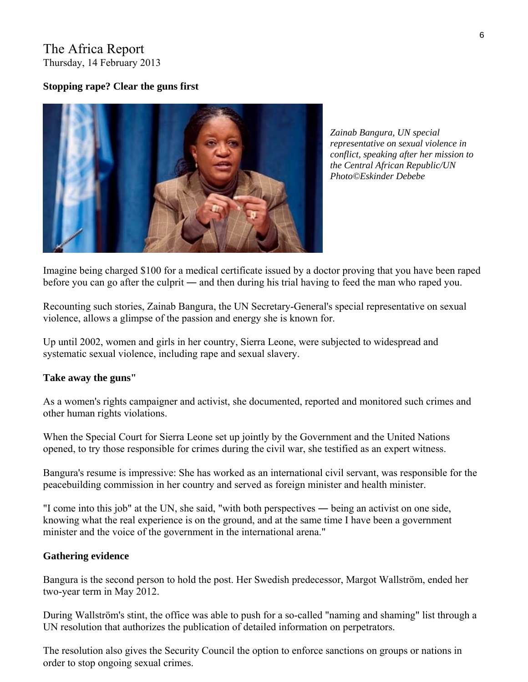# The Africa Report Thursday, 14 February 2013

## **Stopping rape? Clear the guns first**



*Zainab Bangura, UN special representative on sexual violence in conflict, speaking after her mission to the Central African Republic/UN Photo©Eskinder Debebe* 

Imagine being charged \$100 for a medical certificate issued by a doctor proving that you have been raped before you can go after the culprit ― and then during his trial having to feed the man who raped you.

Recounting such stories, Zainab Bangura, the UN Secretary-General's special representative on sexual violence, allows a glimpse of the passion and energy she is known for.

Up until 2002, women and girls in her country, Sierra Leone, were subjected to widespread and systematic sexual violence, including rape and sexual slavery.

### **Take away the guns"**

As a women's rights campaigner and activist, she documented, reported and monitored such crimes and other human rights violations.

When the Special Court for Sierra Leone set up jointly by the Government and the United Nations opened, to try those responsible for crimes during the civil war, she testified as an expert witness.

Bangura's resume is impressive: She has worked as an international civil servant, was responsible for the peacebuilding commission in her country and served as foreign minister and health minister.

"I come into this job" at the UN, she said, "with both perspectives ― being an activist on one side, knowing what the real experience is on the ground, and at the same time I have been a government minister and the voice of the government in the international arena."

### **Gathering evidence**

Bangura is the second person to hold the post. Her Swedish predecessor, Margot Wallström, ended her two-year term in May 2012.

During Wallström's stint, the office was able to push for a so-called "naming and shaming" list through a UN resolution that authorizes the publication of detailed information on perpetrators.

The resolution also gives the Security Council the option to enforce sanctions on groups or nations in order to stop ongoing sexual crimes.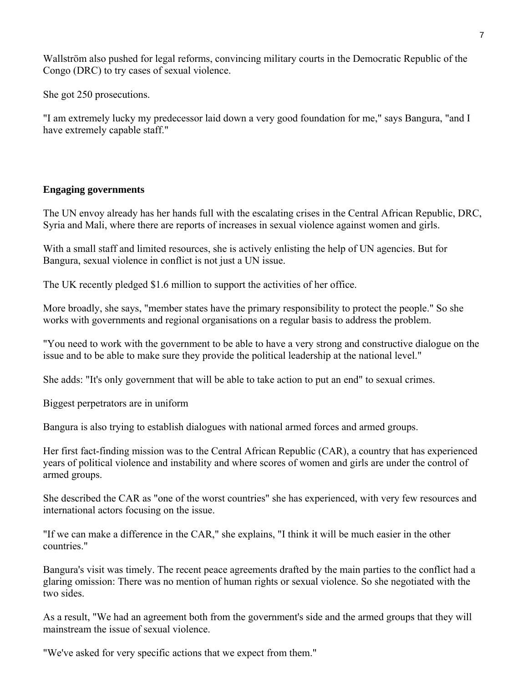Wallström also pushed for legal reforms, convincing military courts in the Democratic Republic of the Congo (DRC) to try cases of sexual violence.

She got 250 prosecutions.

"I am extremely lucky my predecessor laid down a very good foundation for me," says Bangura, "and I have extremely capable staff."

# **Engaging governments**

The UN envoy already has her hands full with the escalating crises in the Central African Republic, DRC, Syria and Mali, where there are reports of increases in sexual violence against women and girls.

With a small staff and limited resources, she is actively enlisting the help of UN agencies. But for Bangura, sexual violence in conflict is not just a UN issue.

The UK recently pledged \$1.6 million to support the activities of her office.

More broadly, she says, "member states have the primary responsibility to protect the people." So she works with governments and regional organisations on a regular basis to address the problem.

"You need to work with the government to be able to have a very strong and constructive dialogue on the issue and to be able to make sure they provide the political leadership at the national level."

She adds: "It's only government that will be able to take action to put an end" to sexual crimes.

Biggest perpetrators are in uniform

Bangura is also trying to establish dialogues with national armed forces and armed groups.

Her first fact-finding mission was to the Central African Republic (CAR), a country that has experienced years of political violence and instability and where scores of women and girls are under the control of armed groups.

She described the CAR as "one of the worst countries" she has experienced, with very few resources and international actors focusing on the issue.

"If we can make a difference in the CAR," she explains, "I think it will be much easier in the other countries."

Bangura's visit was timely. The recent peace agreements drafted by the main parties to the conflict had a glaring omission: There was no mention of human rights or sexual violence. So she negotiated with the two sides.

As a result, "We had an agreement both from the government's side and the armed groups that they will mainstream the issue of sexual violence.

"We've asked for very specific actions that we expect from them."